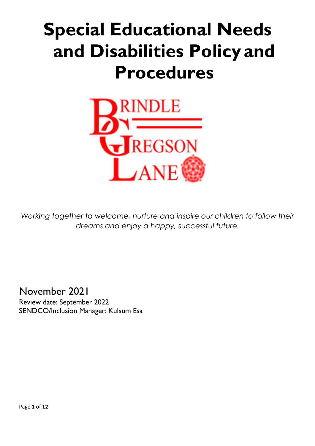# **Special Educational Needs and Disabilities Policy and Procedures**



Working together to welcome, nurture and inspire our children to follow their *dreams and enjoy a happy, successful future.*

November 2021 Review date: September 2022

SENDCO/Inclusion Manager: Kulsum Esa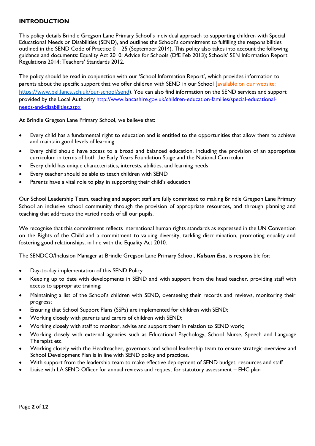## **INTRODUCTION**

This policy details Brindle Gregson Lane Primary School's individual approach to supporting children with Special Educational Needs or Disabilities (SEND), and outlines the School's commitment to fulfilling the responsibilities outlined in the SEND Code of Practice 0 – 25 (September 2014). This policy also takes into account the following guidance and documents: Equality Act 2010; Advice for Schools (DfE Feb 2013); Schools' SEN Information Report Regulations 2014; Teachers' Standards 2012.

The policy should be read in conjunction with our 'School Information Report', which provides information to parents about the specific support that we offer children with SEND in our School [available on our website: [https://www.bgl.lancs.sch.uk/our-school/send\)](https://www.bgl.lancs.sch.uk/our-school/send). You can also find information on the SEND services and support provided by the Local Authority http://www.lancashire.gov.uk/children-education-families/special-educationalneeds-and-disabilities.aspx

At Brindle Gregson Lane Primary School, we believe that:

- Every child has a fundamental right to education and is entitled to the opportunities that allow them to achieve and maintain good levels of learning
- Every child should have access to a broad and balanced education, including the provision of an appropriate curriculum in terms of both the Early Years Foundation Stage and the National Curriculum
- Every child has unique characteristics, interests, abilities, and learning needs
- Every teacher should be able to teach children with SEND
- Parents have a vital role to play in supporting their child's education

Our School Leadership Team, teaching and support staff are fully committed to making Brindle Gregson Lane Primary School an inclusive school community through the provision of appropriate resources, and through planning and teaching that addresses the varied needs of all our pupils.

We recognise that this commitment reflects international human rights standards as expressed in the UN Convention on the Rights of the Child and a commitment to valuing diversity, tackling discrimination, promoting equality and fostering good relationships, in line with the Equality Act 2010.

The SENDCO/Inclusion Manager at Brindle Gregson Lane Primary School, *Kulsum Esa*, is responsible for:

- Day-to-day implementation of this SEND Policy
- Keeping up to date with developments in SEND and with support from the head teacher, providing staff with access to appropriate training;
- Maintaining a list of the School's children with SEND, overseeing their records and reviews, monitoring their progress;
- Ensuring that School Support Plans (SSPs) are implemented for children with SEND;
- Working closely with parents and carers of children with SEND;
- Working closely with staff to monitor, advise and support them in relation to SEND work;
- Working closely with external agencies such as Educational Psychology, School Nurse, Speech and Language Therapist etc.
- Working closely with the Headteacher, governors and school leadership team to ensure strategic overview and School Development Plan is in line with SEND policy and practices.
- With support from the leadership team to make effective deployment of SEND budget, resources and staff
- Liaise with LA SEND Officer for annual reviews and request for statutory assessment EHC plan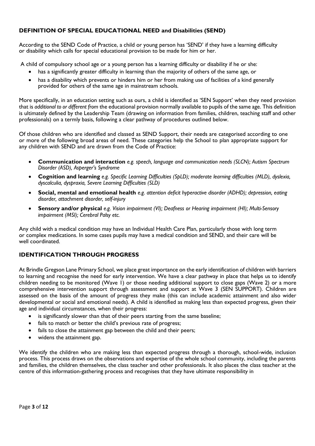# **DEFINITION OF SPECIAL EDUCATIONAL NEED and Disabilities (SEND)**

According to the SEND Code of Practice, a child or young person has 'SEND' if they have a learning difficulty or disability which calls for special educational provision to be made for him or her.

A child of compulsory school age or a young person has a learning difficulty or disability if he or she:

- has a significantly greater difficulty in learning than the majority of others of the same age, or
- has a disability which prevents or hinders him or her from making use of facilities of a kind generally provided for others of the same age in mainstream schools.

More specifically, in an education setting such as ours, a child is identified as 'SEN Support' when they need provision that is *additional to or different from* the educational provision normally available to pupils of the same age. This definition is ultimately defined by the Leadership Team (drawing on information from families, children, teaching staff and other professionals) on a termly basis, following a clear pathway of procedures outlined below.

Of those children who are identified and classed as SEND Support, their needs are categorised according to one or more of the following broad areas of need. These categories help the School to plan appropriate support for any children with SEND and are drawn from the Code of Practice:

- **Communication and interaction** *e.g. speech, language and communication needs (SLCN); Autism Spectrum Disorder (ASD), Asperger's Syndrome*
- **Cognition and learning** *e.g. Specific Learning Difficulties (SpLD); moderate learning difficulties (MLD), dyslexia, dyscalculia, dyspraxia, Severe Learning Difficulties (SLD)*
- **Social, mental and emotional health** *e.g. attention deficit hyperactive disorder (ADHD); depression, eating disorder, attachment disorder, self-injury*
- **Sensory and/or physical** *e.g. Vision impairment (VI); Deafness or Hearing impairment (HI); Multi-Sensory impairment (MSI); Cerebral Palsy etc.*

Any child with a medical condition may have an Individual Health Care Plan, particularly those with long term or complex medications. In some cases pupils may have a medical condition and SEND, and their care will be well coordinated.

# **IDENTIFICATION THROUGH PROGRESS**

At Brindle Gregson Lane Primary School, we place great importance on the early identification of children with barriers to learning and recognise the need for early intervention. We have a clear pathway in place that helps us to identify children needing to be monitored (Wave 1) or those needing additional support to close gaps (Wave 2) or a more comprehensive intervention support through assessment and support at Wave 3 (SEN SUPPORT). Children are assessed on the basis of the amount of progress they make (this can include academic attainment and also wider developmental or social and emotional needs). A child is identified as making less than expected progress, given their age and individual circumstances, when their progress:

- is significantly slower than that of their peers starting from the same baseline;
- fails to match or better the child's previous rate of progress;
- fails to close the attainment gap between the child and their peers;
- widens the attainment gap.

We identify the children who are making less than expected progress through a thorough, school-wide, inclusion process. This process draws on the observations and expertise of the whole school community, including the parents and families, the children themselves, the class teacher and other professionals. It also places the class teacher at the centre of this information-gathering process and recognises that they have ultimate responsibility in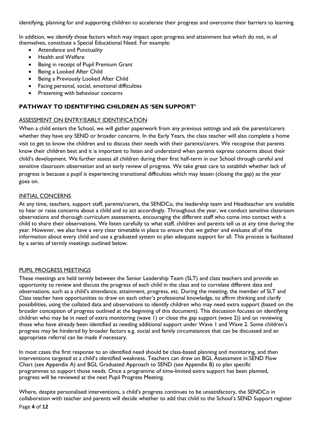identifying, planning for and supporting children to accelerate their progress and overcome their barriers to learning.

In addition, we identify those factors which may impact upon progress and attainment but which do not, in of themselves, constitute a Special Educational Need. For example:

- Attendance and Punctuality
- Health and Welfare
- Being in receipt of Pupil Premium Grant
- Being a Looked After Child
- Being a Previously Looked After Child
- Facing personal, social, emotional difficulties
- Presenting with behaviour concerns

#### **PATHWAY TO IDENTIFYING CHILDREN AS 'SEN SUPPORT'**

#### ASSESSMENT ON ENTRY/EARLY IDENTIFICATION

When a child enters the School, we will gather paperwork from any previous settings and ask the parents/carers whether they have any SEND or broader concerns. In the Early Years, the class teacher will also complete a home visit to get to know the children and to discuss their needs with their parents/carers. We recognise that parents know their children best and it is important to listen and understand when parents express concerns about their child's development. We further assess all children during their first half-term in our School through careful and sensitive classroom observation and an early review of progress. We take great care to establish whether lack of progress is because a pupil is experiencing transitional difficulties which may lessen (closing the gap) as the year goes on.

#### INITIAL CONCERNS

At any time, teachers, support staff, parents/carers, the SENDCo, the leadership team and Headteacher are available to hear or raise concerns about a child and to act accordingly. Throughout the year, we conduct sensitive classroom observations and thorough curriculum assessments, encouraging the different staff who come into contact with a child to share their observations. We listen carefully to what staff, children and parents tell us at any time during the year. However, we also have a very clear timetable in place to ensure that we gather and evaluate all of the information about every child and use a graduated system to plan adequate support for all. This process is facilitated by a series of termly meetings outlined below.

#### PUPIL PROGRESS MEETINGS

These meetings are held termly between the Senior Leadership Team (SLT) and class teachers and provide an opportunity to review and discuss the progress of each child in the class and to correlate different data and observations, such as a child's attendance, attainment, progress, etc. During the meeting, the member of SLT and Class teacher have opportunities to draw on each other's professional knowledge, to affirm thinking and clarify possibilities, using the collated data and observations to identify children who may need extra support (based on the broader conception of progress outlined at the beginning of this document). This discussion focuses on identifying children who may be in need of extra monitoring (wave 1) or close the gap support (wave 2)) and on reviewing those who have already been identified as needing additional support under Wave 1 and Wave 2. Some children's progress may be hindered by broader factors e.g. social and family circumstances that can be discussed and an appropriate referral can be made if necessary.

In most cases the first response to an identified need should be class-based planning and monitoring, and then interventions targeted at a child's identified weakness. Teachers can draw on BGL Assessment in SEND Flow Chart (see Appendix A) and BGL Graduated Approach to SEND (see Appendix B) to plan specific programmes to support those needs. Once a programme of time-limited extra support has been planned, progress will be reviewed at the next Pupil Progress Meeting.

Page **4** of **12** Where, despite personalised interventions, a child's progress continues to be unsatisfactory, the SENDCo in collaboration with teacher and parents will decide whether to add that child to the School's SEND Support register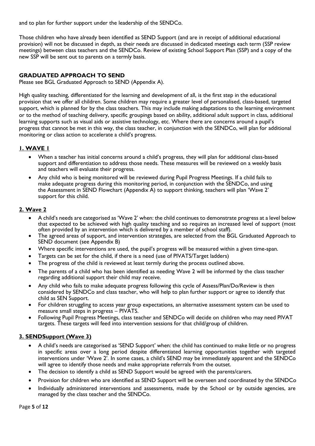and to plan for further support under the leadership of the SENDCo.

Those children who have already been identified as SEND Support (and are in receipt of additional educational provision) will not be discussed in depth, as their needs are discussed in dedicated meetings each term (SSP review meetings) between class teachers and the SENDCo. Review of existing School Support Plan (SSP) and a copy of the new SSP will be sent out to parents on a termly basis.

# **GRADUATED APPROACH TO SEND**

Please see BGL Graduated Approach to SEND (Appendix A).

High quality teaching, differentiated for the learning and development of all, is the first step in the educational provision that we offer all children. Some children may require a greater level of personalised, class-based, targeted support, which is planned for by the class teachers. This may include making adaptations to the learning environment or to the method of teaching delivery, specific groupings based on ability, additional adult support in class, additional learning supports such as visual aids or assistive technology, etc. Where there are concerns around a pupil's progress that cannot be met in this way, the class teacher, in conjunction with the SENDCo, will plan for additional monitoring or class action to accelerate a child's progress.

## **1. WAVE 1**

- When a teacher has initial concerns around a child's progress, they will plan for additional class-based support and differentiation to address those needs. These measures will be reviewed on a weekly basis and teachers will evaluate their progress.
- Any child who is being monitored will be reviewed during Pupil Progress Meetings. If a child fails to make adequate progress during this monitoring period, in conjunction with the SENDCo, and using the Assessment in SEND Flowchart (Appendix A) to support thinking, teachers will plan 'Wave 2' support for this child.

## **2. Wave 2**

- A child's needs are categorised as 'Wave 2' when: the child continues to demonstrate progress at a level below that expected to be achieved with high quality teaching and so requires an increased level of support (most often provided by an intervention which is delivered by a member of school staff).
- The agreed areas of support, and intervention strategies, are selected from the BGL Graduated Approach to SEND document (see Appendix B)
- Where specific interventions are used, the pupil's progress will be measured within a given time-span.
- Targets can be set for the child, if there is a need (use of PIVATS/Target ladders)
- The progress of the child is reviewed at least termly during the process outlined above.
- The parents of a child who has been identified as needing Wave 2 will be informed by the class teacher regarding additional support their child may receive.
- Any child who fails to make adequate progress following this cycle of Assess/Plan/Do/Review is then considered by SENDCo and class teacher, who will help to plan further support or agree to identify that child as SEN Support.
- For children struggling to access year group expectations, an alternative assessment system can be used to measure small steps in progress – PIVATS.
- Following Pupil Progress Meetings, class teacher and SENDCo will decide on children who may need PIVAT targets. These targets will feed into intervention sessions for that child/group of children.

## **3. SENDSupport (Wave 3)**

- A child's needs are categorised as 'SEND Support' when: the child has continued to make little or no progress in specific areas over a long period despite differentiated learning opportunities together with targeted interventions under 'Wave 2'. In some cases, a child's SEND may be immediately apparent and the SENDCo will agree to identify those needs and make appropriate referrals from the outset.
- The decision to identify a child as SEND Support would be agreed with the parents/carers.
- Provision for children who are identified as SEND Support will be overseen and coordinated by the SENDCo
- Individually administered interventions and assessments, made by the School or by outside agencies, are managed by the class teacher and the SENDCo.

Page **5** of **12**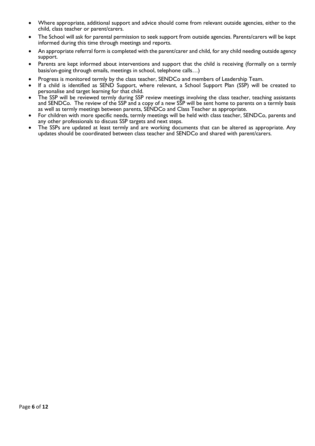- Where appropriate, additional support and advice should come from relevant outside agencies, either to the child, class teacher or parent/carers.
- The School will ask for parental permission to seek support from outside agencies. Parents/carers will be kept informed during this time through meetings and reports.
- An appropriate referral form is completed with the parent/carer and child, for any child needing outside agency support.
- Parents are kept informed about interventions and support that the child is receiving (formally on a termly basis/on-going through emails, meetings in school, telephone calls…)
- Progress is monitored termly by the class teacher, SENDCo and members of Leadership Team.
- If a child is identified as SEND Support, where relevant, a School Support Plan (SSP) will be created to personalise and target learning for that child.
- The SSP will be reviewed termly during SSP review meetings involving the class teacher, teaching assistants and SENDCo. The review of the SSP and a copy of a new SSP will be sent home to parents on a termly basis as well as termly meetings between parents, SENDCo and Class Teacher as appropriate.
- For children with more specific needs, termly meetings will be held with class teacher, SENDCo, parents and any other professionals to discuss SSP targets and next steps.
- The SSPs are updated at least termly and are working documents that can be altered as appropriate. Any updates should be coordinated between class teacher and SENDCo and shared with parent/carers.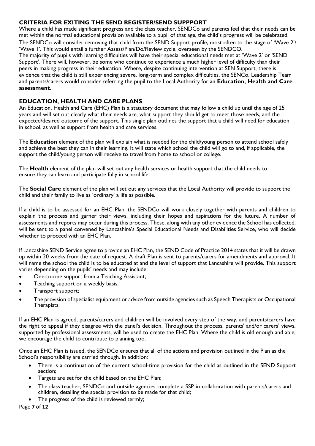### **CRITERIA FOR EXITING THE SEND REGISTER/SEND SUPPPORT**

Where a child has made significant progress and the class teacher, SENDCo and parents feel that their needs can be met within the normal educational provision available to a pupil of that age, the child's progress will be celebrated.

The SENDCo will consider removing that child from the SEND Support profile, most often to the stage of 'Wave 2'/ 'Wave 1'. This would entail a further Assess/Plan/Do/Review cycle, overseen by the SENDCO.

The majority of pupils with learning difficulties will have their special educational needs met at 'Wave 2' or 'SEND Support'. There will, however, be some who continue to experience a much higher level of difficulty than their peers in making progress in their education. Where, despite continuing intervention at SEN Support, there is evidence that the child is still experiencing severe, long-term and complex difficulties, the SENCo, Leadership Team and parents/carers would consider referring the pupil to the Local Authority for an **Education, Health and Care assessment.**

## **EDUCATION, HEALTH AND CARE PLANS**

An Education, Health and Care (EHC) Plan is a statutory document that may follow a child up until the age of 25 years and will set out clearly what their needs are, what support they should get to meet those needs, and the expected/desired outcome of the support. This single plan outlines the support that a child will need for education in school, as well as support from health and care services.

The **Education** element of the plan will explain what is needed for the child/young person to attend school safely and achieve the best they can in their learning. It will state which school the child will go to and, if applicable, the support the child/young person will receive to travel from home to school or college.

The **Health** element of the plan will set out any health services or health support that the child needs to ensure they can learn and participate fully in school life.

The **Social Care** element of the plan will set out any services that the Local Authority will provide to support the child and their family to live as 'ordinary' a life as possible.

If a child is to be assessed for an EHC Plan, the SENDCo will work closely together with parents and children to explain the process and garner their views, including their hopes and aspirations for the future. A number of assessments and reports may occur during this process. These, along with any other evidence the School has collected, will be sent to a panel convened by Lancashire's Special Educational Needs and Disabilities Service, who will decide whether to proceed with an EHC Plan.

If Lancashire SEND Service agree to provide an EHC Plan, the SEND Code of Practice 2014 states that it will be drawn up within 20 weeks from the date of request. A draft Plan is sent to parents/carers for amendments and approval. It will name the school the child is to be educated at and the level of support that Lancashire will provide. This support varies depending on the pupils' needs and may include:

- One-to-one support from a Teaching Assistant;
- Teaching support on a weekly basis;
- Transport support;
- The provision of specialist equipment or advice from outside agencies such as Speech Therapists or Occupational Therapists.

If an EHC Plan is agreed, parents/carers and children will be involved every step of the way, and parents/carers have the right to appeal if they disagree with the panel's decision. Throughout the process, parents' and/or carers' views, supported by professional assessments, will be used to create the EHC Plan. Where the child is old enough and able, we encourage the child to contribute to planning too.

Once an EHC Plan is issued, the SENDCo ensures that all of the actions and provision outlined in the Plan as the School's responsibility are carried through. In addition:

- There is a continuation of the current school-time provision for the child as outlined in the SEND Support section;
- Targets are set for the child based on the EHC Plan;
- The class teacher, SENDCo and outside agencies complete a SSP in collaboration with parents/carers and children, detailing the special provision to be made for that child;
- The progress of the child is reviewed termly;

Page **7** of **12**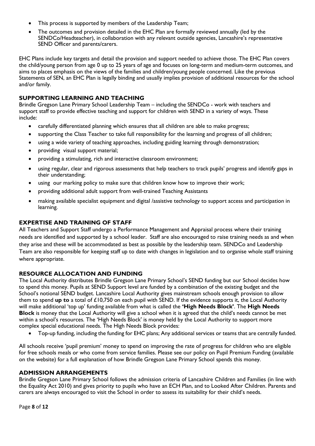- This process is supported by members of the Leadership Team;
- The outcomes and provision detailed in the EHC Plan are formally reviewed annually (led by the SENDCo/Headteacher), in collaboration with any relevant outside agencies, Lancashire's representative SEND Officer and parents/carers.

EHC Plans include key targets and detail the provision and support needed to achieve those. The EHC Plan covers the child/young person from age 0 up to 25 years of age and focuses on long-term and medium-term outcomes, and aims to places emphasis on the views of the families and children/young people concerned. Like the previous Statements of SEN, an EHC Plan is legally binding and usually implies provision of additional resources for the school and/or family.

## **SUPPORTING LEARNING AND TEACHING**

Brindle Gregson Lane Primary School Leadership Team – including the SENDCo - work with teachers and support staff to provide effective teaching and support for children with SEND in a variety of ways. These include:

- carefully differentiated planning which ensures that all children are able to make progress;
- supporting the Class Teacher to take full responsibility for the learning and progress of all children;
- using a wide variety of teaching approaches, including guiding learning through demonstration;
- providing visual support material;
- providing a stimulating, rich and interactive classroom environment;
- using regular, clear and rigorous assessments that help teachers to track pupils' progress and identify gaps in their understanding;
- using our marking policy to make sure that children know how to improve their work;
- providing additional adult support from well-trained Teaching Assistants
- making available specialist equipment and digital /assistive technology to support access and participation in learning.

#### **EXPERTISE AND TRAINING OF STAFF**

All Teachers and Support Staff undergo a Performance Management and Appraisal process where their training needs are identified and supported by a school leader. Staff are also encouraged to raise training needs as and when they arise and these will be accommodated as best as possible by the leadership team. SENDCo and Leadership Team are also responsible for keeping staff up to date with changes in legislation and to organise whole staff training where appropriate.

## **RESOURCE ALLOCATION AND FUNDING**

The Local Authority distributes Brindle Gregson Lane Primary School's SEND funding but our School decides how to spend this money. Pupils at SEND Support level are funded by a combination of the existing budget and the School's notional SEND budget. Lancashire Local Authority gives mainstream schools enough provision to allow them to spend **up to** a total of £10,750 on each pupil with SEND. If the evidence supports it, the Local Authority will make additional 'top up' funding available from what is called the **'High Needs Block'**. The **High Needs Block** is money that the Local Authority will give a school when it is agreed that the child's needs cannot be met within a school's resources. The 'High Needs Block' is money held by the Local Authority to support more complex special educational needs. The High Needs Block provides:

Top-up funding, including the funding for EHC plans; Any additional services or teams that are centrally funded.

All schools receive 'pupil premium' money to spend on improving the rate of progress for children who are eligible for free schools meals or who come from service families. Please see our policy on Pupil Premium Funding (available on the website) for a full explanation of how Brindle Gregson Lane Primary School spends this money.

#### **ADMISSION ARRANGEMENTS**

Brindle Gregson Lane Primary School follows the admission criteria of Lancashire Children and Families (in line with the Equality Act 2010) and gives priority to pupils who have an ECH Plan, and to Looked After Children. Parents and carers are always encouraged to visit the School in order to assess its suitability for their child's needs.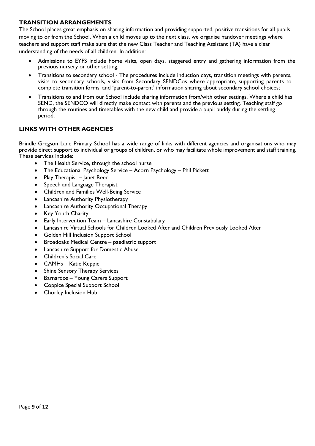#### **TRANSITION ARRANGEMENTS**

The School places great emphasis on sharing information and providing supported, positive transitions for all pupils moving to or from the School. When a child moves up to the next class, we organise handover meetings where teachers and support staff make sure that the new Class Teacher and Teaching Assistant (TA) have a clear understanding of the needs of all children. In addition:

- Admissions to EYFS include home visits, open days, staggered entry and gathering information from the previous nursery or other setting.
- Transitions to secondary school The procedures include induction days, transition meetings with parents, visits to secondary schools, visits from Secondary SENDCos where appropriate, supporting parents to complete transition forms, and 'parent-to-parent' information sharing about secondary school choices;
- Transitions to and from our School include sharing information from/with other settings. Where a child has SEND, the SENDCO will directly make contact with parents and the previous setting. Teaching staff go through the routines and timetables with the new child and provide a pupil buddy during the settling period.

# **LINKS WITH OTHER AGENCIES**

Brindle Gregson Lane Primary School has a wide range of links with different agencies and organisations who may provide direct support to individual or groups of children, or who may facilitate whole improvement and staff training. These services include:

- The Health Service, through the school nurse
- The Educational Psychology Service Acorn Psychology Phil Pickett
- Play Therapist Janet Reed
- Speech and Language Therapist
- Children and Families Well-Being Service
- Lancashire Authority Physiotherapy
- Lancashire Authority Occupational Therapy
- Key Youth Charity
- Early Intervention Team Lancashire Constabulary
- Lancashire Virtual Schools for Children Looked After and Children Previously Looked After
- Golden Hill Inclusion Support School
- Broadoaks Medical Centre paediatric support
- Lancashire Support for Domestic Abuse
- Children's Social Care
- CAMHs Katie Keppie
- Shine Sensory Therapy Services
- Barnardos Young Carers Support
- Coppice Special Support School
- Chorley Inclusion Hub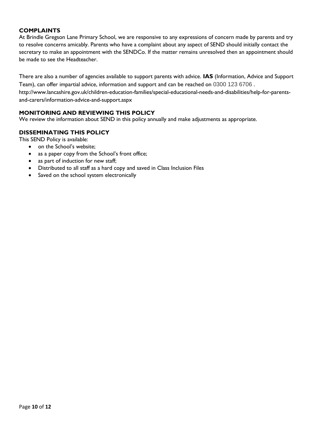## **COMPLAINTS**

At Brindle Gregson Lane Primary School, we are responsive to any expressions of concern made by parents and try to resolve concerns amicably. Parents who have a complaint about any aspect of SEND should initially contact the secretary to make an appointment with the SENDCo. If the matter remains unresolved then an appointment should be made to see the Headteacher.

There are also a number of agencies available to support parents with advice. **IAS** (Information, Advice and Support Team), can offer impartial advice, information and support and can be reached on 0300 123 6706 . http://www.lancashire.gov.uk/children-education-families/special-educational-needs-and-disabilities/help-for-parentsand-carers/information-advice-and-support.aspx

## **MONITORING AND REVIEWING THIS POLICY**

We review the information about SEND in this policy annually and make adjustments as appropriate.

#### **DISSEMINATING THIS POLICY**

This SEND Policy is available:

- on the School's website;
- as a paper copy from the School's front office;
- as part of induction for new staff;
- Distributed to all staff as a hard copy and saved in Class Inclusion Files
- Saved on the school system electronically